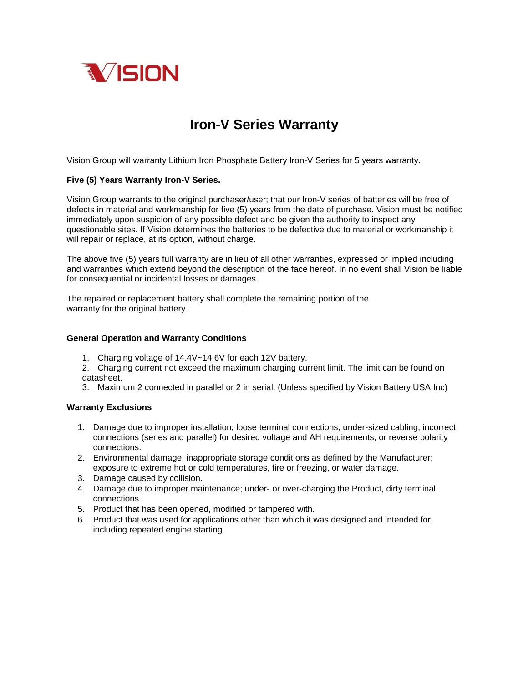

## **Iron-V Series Warranty**

Vision Group will warranty Lithium Iron Phosphate Battery Iron-V Series for 5 years warranty.

## **Five (5) Years Warranty Iron-V Series.**

Vision Group warrants to the original purchaser/user; that our Iron-V series of batteries will be free of defects in material and workmanship for five (5) years from the date of purchase. Vision must be notified immediately upon suspicion of any possible defect and be given the authority to inspect any questionable sites. If Vision determines the batteries to be defective due to material or workmanship it will repair or replace, at its option, without charge.

The above five (5) years full warranty are in lieu of all other warranties, expressed or implied including and warranties which extend beyond the description of the face hereof. In no event shall Vision be liable for consequential or incidental losses or damages.

The repaired or replacement battery shall complete the remaining portion of the warranty for the original battery.

## **General Operation and Warranty Conditions**

1. Charging voltage of 14.4V~14.6V for each 12V battery.

2. Charging current not exceed the maximum charging current limit. The limit can be found on datasheet.

3. Maximum 2 connected in parallel or 2 in serial. (Unless specified by Vision Battery USA Inc)

## **Warranty Exclusions**

- 1. Damage due to improper installation; loose terminal connections, under-sized cabling, incorrect connections (series and parallel) for desired voltage and AH requirements, or reverse polarity connections.
- 2. Environmental damage; inappropriate storage conditions as defined by the Manufacturer; exposure to extreme hot or cold temperatures, fire or freezing, or water damage.
- 3. Damage caused by collision.
- 4. Damage due to improper maintenance; under- or over-charging the Product, dirty terminal connections.
- 5. Product that has been opened, modified or tampered with.
- 6. Product that was used for applications other than which it was designed and intended for, including repeated engine starting.